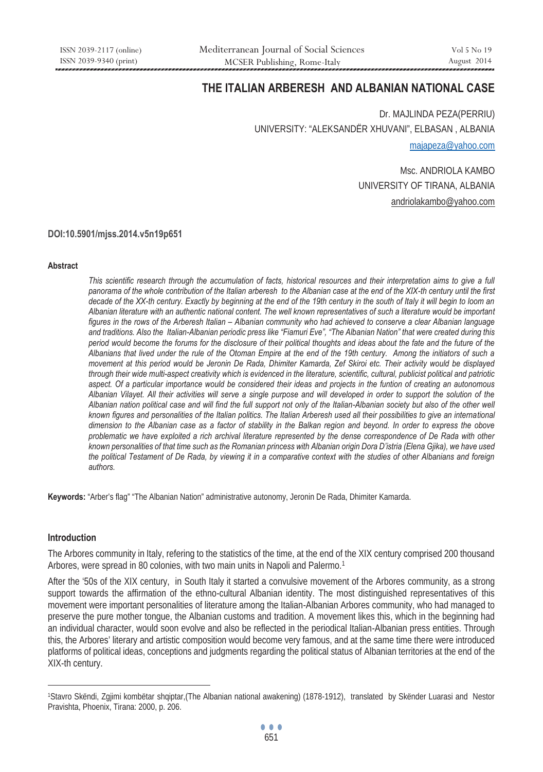# **THE ITALIAN ARBERESH AND ALBANIAN NATIONAL CASE**

Dr. MAJLINDA PEZA(PERRIU) UNIVERSITY: "ALEKSANDËR XHUVANI", ELBASAN , ALBANIA majapeza@yahoo.com

> Msc. ANDRIOLA KAMBO UNIVERSITY OF TIRANA, ALBANIA andriolakambo@yahoo.com

#### **DOI:10.5901/mjss.2014.v5n19p651**

#### **Abstract**

*This scientific research through the accumulation of facts, historical resources and their interpretation aims to give a full panorama of the whole contribution of the Italian arberesh to the Albanian case at the end of the XIX-th century until the first decade of the XX-th century. Exactly by beginning at the end of the 19th century in the south of Italy it will begin to loom an Albanian literature with an authentic national content. The well known representatives of such a literature would be important figures in the rows of the Arberesh Italian – Albanian community who had achieved to conserve a clear Albanian language and traditions. Also the Italian-Albanian periodic press like "Fiamuri Eve", "The Albanian Nation" that were created during this period would become the forums for the disclosure of their political thoughts and ideas about the fate and the future of the Albanians that lived under the rule of the Otoman Empire at the end of the 19th century. Among the initiators of such a movement at this period would be Jeronin De Rada, Dhimiter Kamarda, Zef Skiroi etc. Their activity would be displayed through their wide multi-aspect creativity which is evidenced in the literature, scientific, cultural, publicist political and patriotic aspect. Of a particular importance would be considered their ideas and projects in the funtion of creating an autonomous Albanian Vilayet. All their activities will serve a single purpose and will developed in order to support the solution of the Albanian nation political case and will find the full support not only of the Italian-Albanian society but also of the other well known figures and personalities of the Italian politics. The Italian Arberesh used all their possibilities to give an international dimension to the Albanian case as a factor of stability in the Balkan region and beyond. In order to express the obove problematic we have exploited a rich archival literature represented by the dense correspondence of De Rada with other known personalities of that time such as the Romanian princess with Albanian origin Dora D'istria (Elena Gjika), we have used the political Testament of De Rada, by viewing it in a comparative context with the studies of other Albanians and foreign authors.* 

**Keywords:** "Arber's flag" "The Albanian Nation" administrative autonomy, Jeronin De Rada, Dhimiter Kamarda.

#### **Introduction**

 $\overline{a}$ 

The Arbores community in Italy, refering to the statistics of the time, at the end of the XIX century comprised 200 thousand Arbores, were spread in 80 colonies, with two main units in Napoli and Palermo.1

After the '50s of the XIX century, in South Italy it started a convulsive movement of the Arbores community, as a strong support towards the affirmation of the ethno-cultural Albanian identity. The most distinguished representatives of this movement were important personalities of literature among the Italian-Albanian Arbores community, who had managed to preserve the pure mother tongue, the Albanian customs and tradition. A movement likes this, which in the beginning had an individual character, would soon evolve and also be reflected in the periodical Italian-Albanian press entities. Through this, the Arbores' literary and artistic composition would become very famous, and at the same time there were introduced platforms of political ideas, conceptions and judgments regarding the political status of Albanian territories at the end of the XIX-th century.

<sup>1</sup>Stavro Skëndi, Zgjimi kombëtar shqiptar,(The Albanian national awakening) (1878-1912), translated by Skënder Luarasi and Nestor Pravishta, Phoenix, Tirana: 2000, p. 206.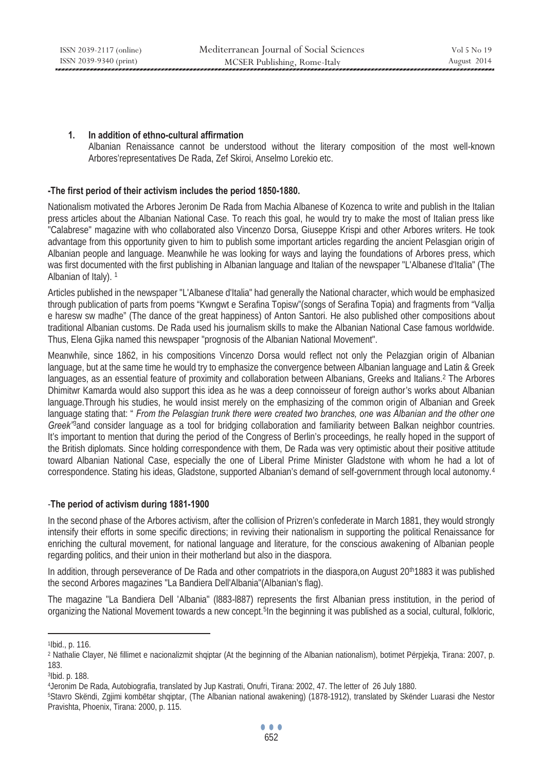ISSN 2039-2117 (online) ISSN 2039-9340 (print)

## **1. In addition of ethno-cultural affirmation**

Albanian Renaissance cannot be understood without the literary composition of the most well-known Arbores'representatives De Rada, Zef Skiroi, Anselmo Lorekio etc.

## **-The first period of their activism includes the period 1850-1880.**

Nationalism motivated the Arbores Jeronim De Rada from Machia Albanese of Kozenca to write and publish in the Italian press articles about the Albanian National Case. To reach this goal, he would try to make the most of Italian press like "Calabrese" magazine with who collaborated also Vincenzo Dorsa, Giuseppe Krispi and other Arbores writers. He took advantage from this opportunity given to him to publish some important articles regarding the ancient Pelasgian origin of Albanian people and language. Meanwhile he was looking for ways and laying the foundations of Arbores press, which was first documented with the first publishing in Albanian language and Italian of the newspaper "L'Albanese d'Italia" (The Albanian of Italy). 1

Articles published in the newspaper "L'Albanese d'Italia" had generally the National character, which would be emphasized through publication of parts from poems "Kwngwt e Serafina Topisw"(songs of Serafina Topia) and fragments from "Vallja e haresw sw madhe" (The dance of the great happiness) of Anton Santori. He also published other compositions about traditional Albanian customs. De Rada used his journalism skills to make the Albanian National Case famous worldwide. Thus, Elena Gjika named this newspaper "prognosis of the Albanian National Movement".

Meanwhile, since 1862, in his compositions Vincenzo Dorsa would reflect not only the Pelazgian origin of Albanian language, but at the same time he would try to emphasize the convergence between Albanian language and Latin & Greek languages, as an essential feature of proximity and collaboration between Albanians, Greeks and Italians.<sup>2</sup> The Arbores Dhimitwr Kamarda would also support this idea as he was a deep connoisseur of foreign author's works about Albanian language.Through his studies, he would insist merely on the emphasizing of the common origin of Albanian and Greek language stating that: " *From the Pelasgian trunk there were created two branches, one was Albanian and the other one Greek"*3and consider language as a tool for bridging collaboration and familiarity between Balkan neighbor countries. It's important to mention that during the period of the Congress of Berlin's proceedings, he really hoped in the support of the British diplomats. Since holding correspondence with them, De Rada was very optimistic about their positive attitude toward Albanian National Case, especially the one of Liberal Prime Minister Gladstone with whom he had a lot of correspondence. Stating his ideas, Gladstone, supported Albanian's demand of self-government through local autonomy.<sup>4</sup>

#### -**The period of activism during 1881-1900**

In the second phase of the Arbores activism, after the collision of Prizren's confederate in March 1881, they would strongly intensify their efforts in some specific directions; in reviving their nationalism in supporting the political Renaissance for enriching the cultural movement, for national language and literature, for the conscious awakening of Albanian people regarding politics, and their union in their motherland but also in the diaspora.

In addition, through perseverance of De Rada and other compatriots in the diaspora, on August 20<sup>th</sup>1883 it was published the second Arbores magazines "La Bandiera Dell'Albania"(Albanian's flag).

The magazine "La Bandiera Dell 'Albania" (l883-l887) represents the first Albanian press institution, in the period of organizing the National Movement towards a new concept.5In the beginning it was published as a social, cultural, folkloric,

 $\overline{a}$ 

<sup>1</sup>Ibid., p. 116.

<sup>2</sup> Nathalie Clayer, Në fillimet e nacionalizmit shqiptar (At the beginning of the Albanian nationalism), botimet Përpjekja, Tirana: 2007, p. 183.

<sup>3</sup>Ibid. p. 188.

<sup>&</sup>lt;sup>4</sup>Jeronim De Rada, Autobiografia, translated by Jup Kastrati, Onufri, Tirana: 2002, 47. The letter of 26 July 1880.<br><sup>5</sup>Stavro Skëndi, Zgjimi kombëtar shqiptar, (The Albanian national awakening) (1878-1912), translated by Pravishta, Phoenix, Tirana: 2000, p. 115.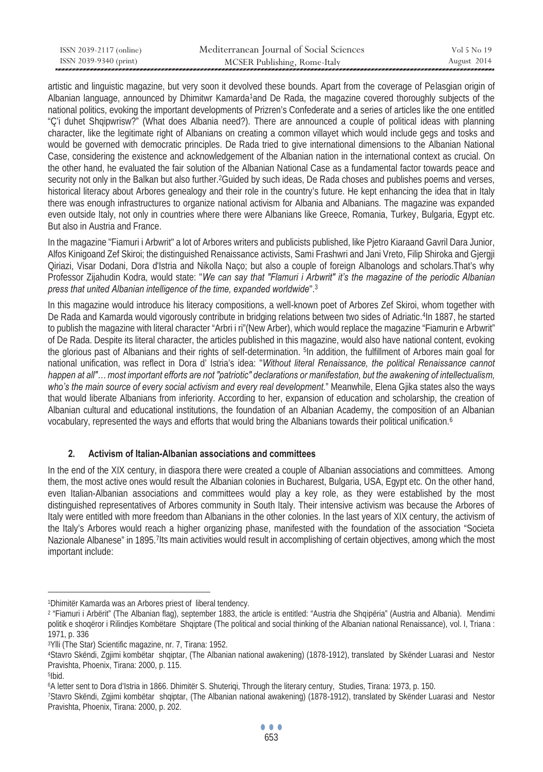| ISSN 2039-2117 (online) | Mediterranean Journal of Social Sciences | Vol 5 No 19 |
|-------------------------|------------------------------------------|-------------|
| ISSN 2039-9340 (print)  | MCSER Publishing, Rome-Italy             | August 2014 |

artistic and linguistic magazine, but very soon it devolved these bounds. Apart from the coverage of Pelasgian origin of Albanian language, announced by Dhimitwr Kamarda1and De Rada, the magazine covered thoroughly subjects of the national politics, evoking the important developments of Prizren's Confederate and a series of articles like the one entitled "Ç'i duhet Shqipwrisw?" (What does Albania need?). There are announced a couple of political ideas with planning character, like the legitimate right of Albanians on creating a common villayet which would include gegs and tosks and would be governed with democratic principles. De Rada tried to give international dimensions to the Albanian National Case, considering the existence and acknowledgement of the Albanian nation in the international context as crucial. On the other hand, he evaluated the fair solution of the Albanian National Case as a fundamental factor towards peace and security not only in the Balkan but also further.<sup>2</sup>Guided by such ideas, De Rada choses and publishes poems and verses, historical literacy about Arbores genealogy and their role in the country's future. He kept enhancing the idea that in Italy there was enough infrastructures to organize national activism for Albania and Albanians. The magazine was expanded even outside Italy, not only in countries where there were Albanians like Greece, Romania, Turkey, Bulgaria, Egypt etc. But also in Austria and France.

In the magazine "Fiamuri i Arbwrit" a lot of Arbores writers and publicists published, like Pjetro Kiaraand Gavril Dara Junior, Alfos Kinigoand Zef Skiroi; the distinguished Renaissance activists, Sami Frashwri and Jani Vreto, Filip Shiroka and Gjergji Qiriazi, Visar Dodani, Dora d'Istria and Nikolla Naço; but also a couple of foreign Albanologs and scholars.That's why Professor Zijahudin Kodra, would state: "*We can say that "Flamuri i Arbwrit" it's the magazine of the periodic Albanian press that united Albanian intelligence of the time, expanded worldwide*".3

In this magazine would introduce his literacy compositions, a well-known poet of Arbores Zef Skiroi, whom together with De Rada and Kamarda would vigorously contribute in bridging relations between two sides of Adriatic.4In 1887, he started to publish the magazine with literal character "Arbri i ri"(New Arber), which would replace the magazine "Fiamurin e Arbwrit" of De Rada. Despite its literal character, the articles published in this magazine, would also have national content, evoking the glorious past of Albanians and their rights of self-determination. 5In addition, the fulfillment of Arbores main goal for national unification, was reflect in Dora d' Istria's idea: "*Without literal Renaissance, the political Renaissance cannot happen at all"… most important efforts are not "patriotic" declarations or manifestation, but the awakening of intellectualism, who's the main source of every social activism and every real development.*" Meanwhile, Elena Gjika states also the ways that would liberate Albanians from inferiority. According to her, expansion of education and scholarship, the creation of Albanian cultural and educational institutions, the foundation of an Albanian Academy, the composition of an Albanian vocabulary, represented the ways and efforts that would bring the Albanians towards their political unification.6

# **2. Activism of Italian-Albanian associations and committees**

In the end of the XIX century, in diaspora there were created a couple of Albanian associations and committees. Among them, the most active ones would result the Albanian colonies in Bucharest, Bulgaria, USA, Egypt etc. On the other hand, even Italian-Albanian associations and committees would play a key role, as they were established by the most distinguished representatives of Arbores community in South Italy. Their intensive activism was because the Arbores of Italy were entitled with more freedom than Albanians in the other colonies. In the last years of XIX century, the activism of the Italy's Arbores would reach a higher organizing phase, manifested with the foundation of the association "Societa Nazionale Albanese" in 1895.7Its main activities would result in accomplishing of certain objectives, among which the most important include:

 $\overline{a}$ 

<sup>&</sup>lt;sup>1</sup>Dhimitër Kamarda was an Arbores priest of liberal tendency.<br><sup>2</sup> "Fiamuri i Arbërit" (The Albanian flag), september 1883, the article is entitled: "Austria dhe Shqipëria" (Austria and Albania). Mendimi politik e shoqëror i Rilindjes Kombëtare Shqiptare (The political and social thinking of the Albanian national Renaissance), vol. I, Triana : 1971, p. 336

<sup>&</sup>lt;sup>3</sup>Ylli (The Star) Scientific magazine, nr. 7, Tirana: 1952.<br><sup>4</sup>Stavro Skëndi, Zgjimi kombëtar shqiptar, (The Albanian national awakening) (1878-1912), translated by Skënder Luarasi and Nestor Pravishta, Phoenix, Tirana: 2000, p. 115.<br><sup>5</sup>Ibid.

<sup>&</sup>lt;sup>6</sup>A letter sent to Dora d'Istria in 1866. Dhimitër S. Shuteriqi, Through the literary century, Studies, Tirana: 1973, p. 150.<br>7Stavro Skëndi, Zgjimi kombëtar shqiptar, (The Albanian national awakening) (1878-1912), transl Pravishta, Phoenix, Tirana: 2000, p. 202.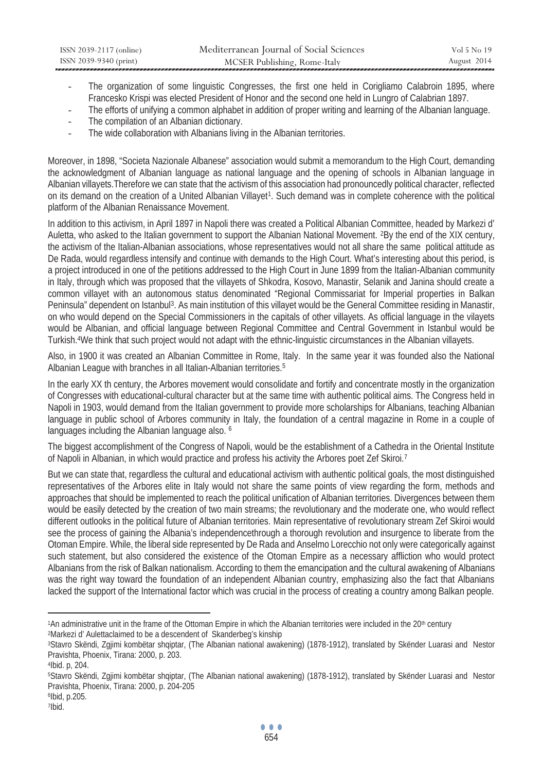- The organization of some linguistic Congresses, the first one held in Corigliamo Calabroin 1895, where Francesko Krispi was elected President of Honor and the second one held in Lungro of Calabrian 1897.
- The efforts of unifying a common alphabet in addition of proper writing and learning of the Albanian language.
- The compilation of an Albanian dictionary.
- The wide collaboration with Albanians living in the Albanian territories.

Moreover, in 1898, "Societa Nazionale Albanese" association would submit a memorandum to the High Court, demanding the acknowledgment of Albanian language as national language and the opening of schools in Albanian language in Albanian villayets.Therefore we can state that the activism of this association had pronouncedly political character, reflected on its demand on the creation of a United Albanian Villayet<sup>1</sup>. Such demand was in complete coherence with the political platform of the Albanian Renaissance Movement.

In addition to this activism, in April 1897 in Napoli there was created a Political Albanian Committee, headed by Markezi d' Auletta, who asked to the Italian government to support the Albanian National Movement. 2By the end of the XIX century, the activism of the Italian-Albanian associations, whose representatives would not all share the same political attitude as De Rada, would regardless intensify and continue with demands to the High Court. What's interesting about this period, is a project introduced in one of the petitions addressed to the High Court in June 1899 from the Italian-Albanian community in Italy, through which was proposed that the villayets of Shkodra, Kosovo, Manastir, Selanik and Janina should create a common villayet with an autonomous status denominated "Regional Commissariat for Imperial properties in Balkan Peninsula" dependent on Istanbul3. As main institution of this villayet would be the General Committee residing in Manastir, on who would depend on the Special Commissioners in the capitals of other villayets. As official language in the vilayets would be Albanian, and official language between Regional Committee and Central Government in Istanbul would be Turkish.4We think that such project would not adapt with the ethnic-linguistic circumstances in the Albanian villayets.

Also, in 1900 it was created an Albanian Committee in Rome, Italy. In the same year it was founded also the National Albanian League with branches in all Italian-Albanian territories.5

In the early XX th century, the Arbores movement would consolidate and fortify and concentrate mostly in the organization of Congresses with educational-cultural character but at the same time with authentic political aims. The Congress held in Napoli in 1903, would demand from the Italian government to provide more scholarships for Albanians, teaching Albanian language in public school of Arbores community in Italy, the foundation of a central magazine in Rome in a couple of languages including the Albanian language also. <sup>6</sup>

The biggest accomplishment of the Congress of Napoli, would be the establishment of a Cathedra in the Oriental Institute of Napoli in Albanian, in which would practice and profess his activity the Arbores poet Zef Skiroi.7

But we can state that, regardless the cultural and educational activism with authentic political goals, the most distinguished representatives of the Arbores elite in Italy would not share the same points of view regarding the form, methods and approaches that should be implemented to reach the political unification of Albanian territories. Divergences between them would be easily detected by the creation of two main streams; the revolutionary and the moderate one, who would reflect different outlooks in the political future of Albanian territories. Main representative of revolutionary stream Zef Skiroi would see the process of gaining the Albania's independencethrough a thorough revolution and insurgence to liberate from the Otoman Empire. While, the liberal side represented by De Rada and Anselmo Lorecchio not only were categorically against such statement, but also considered the existence of the Otoman Empire as a necessary affliction who would protect Albanians from the risk of Balkan nationalism. According to them the emancipation and the cultural awakening of Albanians was the right way toward the foundation of an independent Albanian country, emphasizing also the fact that Albanians lacked the support of the International factor which was crucial in the process of creating a country among Balkan people.

 $\overline{a}$ 1An administrative unit in the frame of the Ottoman Empire in which the Albanian territories were included in the 20<sup>th</sup> century<br><sup>2</sup>Markezi d'Aulettaclaimed to be a descendent of Skanderbeg's kinship<br><sup>3</sup>Stavro Skëndi, Zgji

Pravishta, Phoenix, Tirana: 2000, p. 203. 4Ibid. p, 204.

<sup>5</sup>Stavro Skëndi, Zgjimi kombëtar shqiptar, (The Albanian national awakening) (1878-1912), translated by Skënder Luarasi and Nestor Pravishta, Phoenix, Tirana: 2000, p. 204-205 6Ibid, p.205.

<sup>7</sup>Ibid.